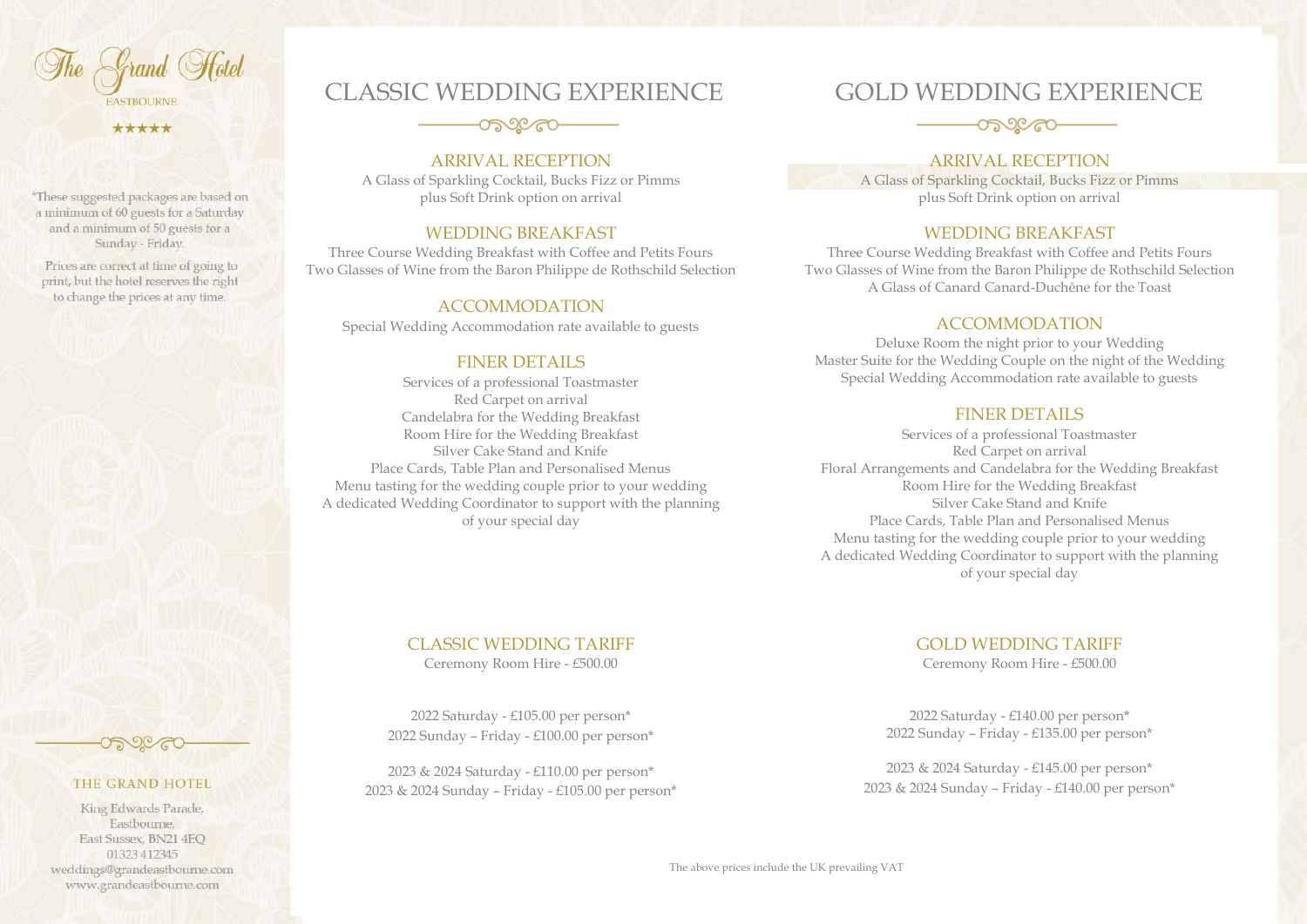The Grand Hotel **FASTBOURNE** 

\*\*\*\*\*

\*These suggested packages are based on a minimum of 60 guests for a Saturday and a minimum of 50 guests for a Sunday - Friday.

Prices are correct at time of going to print, but the hotel reserves the right to change the prices at any time.

THE GRAND HOTEL King Edwards Parade, Eastbourne. East Sussex, BN21 4EO 01323 412345 weddings@grandeastbourne.com www.grandeastbourne.com

## ೲೕೲ

# ARRIVAL RECEPTION

CLASSIC WEDDING EXPERIENCE

A Glass of Sparkling Cocktail, Bucks Fizz or Pimms plus Soft Drink option on arrival

#### WEDDING BREAKFAST

Three Course Wedding Breakfast with Coffee and Petits Fours Two Glasses of Wine from the Baron Philippe de Rothschild Selection

#### ACCOMMODATION

Special Wedding Accommodation rate available to guests

#### FINER DETAILS

Services of a professional Toastmaster Red Carpet on arrival Candelabra for the Wedding Breakfast Room Hire for the Wedding Breakfast Silver Cake Stand and Knife Place Cards, Table Plan and Personalised Menus Menu tasting for the wedding couple prior to your wedding A dedicated Wedding Coordinator to support with the planning of your special day

## CLASSIC WEDDING TARIFF

Ceremony Room Hire - £500.00

2022 Saturday - £105.00 per person\* 2022 Sunday – Friday - £100.00 per person\*

2023 & 2024 Saturday - £110.00 per person\* 2023 & 2024 Sunday – Friday - £105.00 per person\*

# GOLD WEDDING EXPERIENCE



#### ARRIVAL RECEPTION

A Glass of Sparkling Cocktail, Bucks Fizz or Pimms plus Soft Drink option on arrival

#### WEDDING BREAKFAST

Three Course Wedding Breakfast with Coffee and Petits Fours Two Glasses of Wine from the Baron Philippe de Rothschild Selection A Glass of Canard Canard-Duchêne for the Toast

#### ACCOMMODATION

Deluxe Room the night prior to your Wedding Master Suite for the Wedding Couple on the night of the Wedding Special Wedding Accommodation rate available to guests

#### FINER DETAILS

Services of a professional Toastmaster Red Carpet on arrival Floral Arrangements and Candelabra for the Wedding Breakfast Room Hire for the Wedding Breakfast Silver Cake Stand and Knife Place Cards, Table Plan and Personalised Menus Menu tasting for the wedding couple prior to your wedding A dedicated Wedding Coordinator to support with the planning of your special day

## GOLD WEDDING TARIFF

Ceremony Room Hire - £500.00

2022 Saturday - £140.00 per person\* 2022 Sunday – Friday - £135.00 per person\*

2023 & 2024 Saturday - £145.00 per person\* 2023 & 2024 Sunday – Friday - £140.00 per person\*